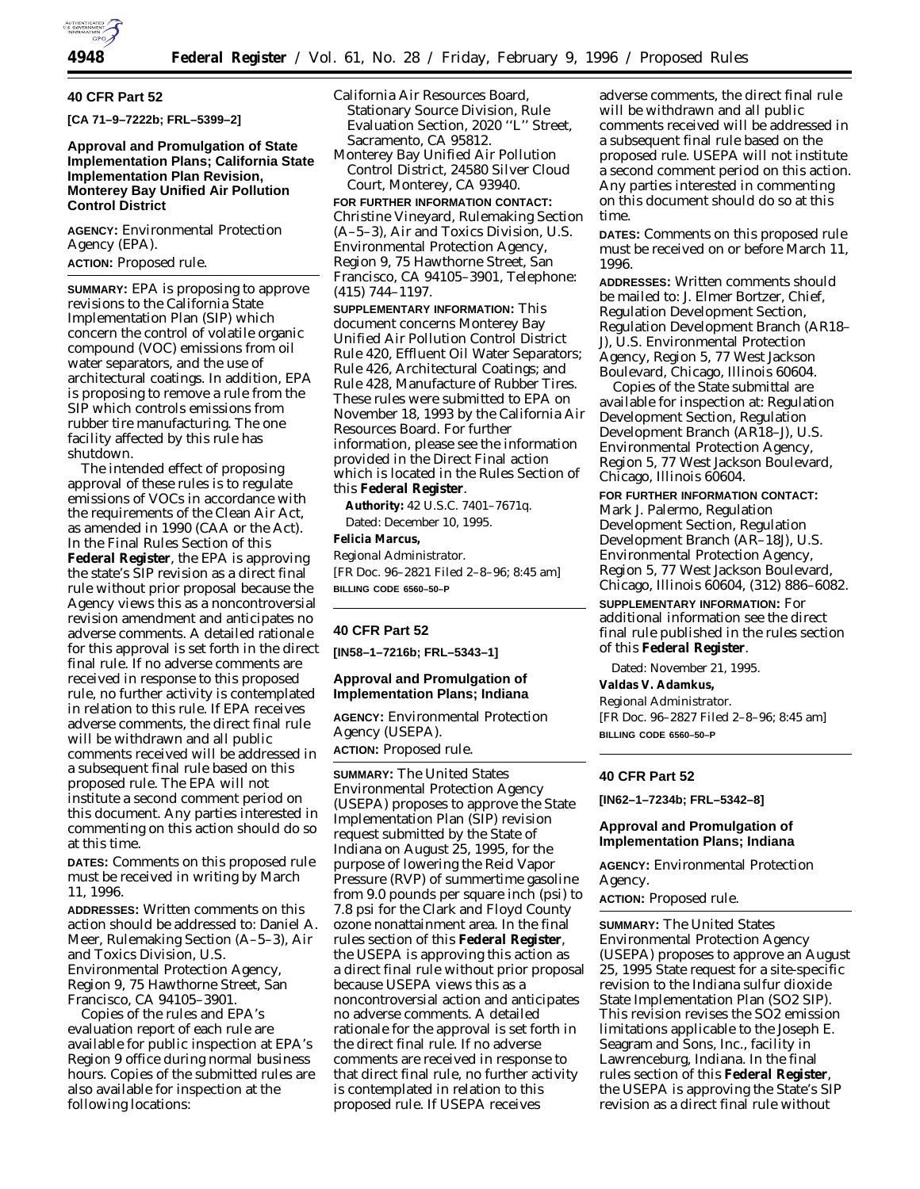

### **40 CFR Part 52**

**[CA 71–9–7222b; FRL–5399–2]**

# **Approval and Promulgation of State Implementation Plans; California State Implementation Plan Revision, Monterey Bay Unified Air Pollution Control District**

**AGENCY:** Environmental Protection Agency (EPA).

## **ACTION:** Proposed rule.

**SUMMARY:** EPA is proposing to approve revisions to the California State Implementation Plan (SIP) which concern the control of volatile organic compound (VOC) emissions from oil water separators, and the use of architectural coatings. In addition, EPA is proposing to remove a rule from the SIP which controls emissions from rubber tire manufacturing. The one facility affected by this rule has shutdown.

The intended effect of proposing approval of these rules is to regulate emissions of VOCs in accordance with the requirements of the Clean Air Act, as amended in 1990 (CAA or the Act). In the Final Rules Section of this **Federal Register**, the EPA is approving the state's SIP revision as a direct final rule without prior proposal because the Agency views this as a noncontroversial revision amendment and anticipates no adverse comments. A detailed rationale for this approval is set forth in the direct final rule. If no adverse comments are received in response to this proposed rule, no further activity is contemplated in relation to this rule. If EPA receives adverse comments, the direct final rule will be withdrawn and all public comments received will be addressed in a subsequent final rule based on this proposed rule. The EPA will not institute a second comment period on this document. Any parties interested in commenting on this action should do so at this time.

**DATES:** Comments on this proposed rule must be received in writing by March 11, 1996.

**ADDRESSES:** Written comments on this action should be addressed to: Daniel A. Meer, Rulemaking Section (A–5–3), Air and Toxics Division, U.S. Environmental Protection Agency, Region 9, 75 Hawthorne Street, San Francisco, CA 94105–3901.

Copies of the rules and EPA's evaluation report of each rule are available for public inspection at EPA's Region 9 office during normal business hours. Copies of the submitted rules are also available for inspection at the following locations:

- California Air Resources Board, Stationary Source Division, Rule Evaluation Section, 2020 ''L'' Street, Sacramento, CA 95812.
- Monterey Bay Unified Air Pollution Control District, 24580 Silver Cloud Court, Monterey, CA 93940.

**FOR FURTHER INFORMATION CONTACT:** Christine Vineyard, Rulemaking Section (A–5–3), Air and Toxics Division, U.S. Environmental Protection Agency, Region 9, 75 Hawthorne Street, San Francisco, CA 94105–3901, Telephone: (415) 744–1197.

**SUPPLEMENTARY INFORMATION:** This document concerns Monterey Bay Unified Air Pollution Control District Rule 420, Effluent Oil Water Separators; Rule 426, Architectural Coatings; and Rule 428, Manufacture of Rubber Tires. These rules were submitted to EPA on November 18, 1993 by the California Air Resources Board. For further information, please see the information provided in the Direct Final action which is located in the Rules Section of this **Federal Register**.

**Authority:** 42 U.S.C. 7401–7671q. Dated: December 10, 1995.

**Felicia Marcus,**

*Regional Administrator.* [FR Doc. 96–2821 Filed 2–8–96; 8:45 am] **BILLING CODE 6560–50–P**

### **40 CFR Part 52**

**[IN58–1–7216b; FRL–5343–1]**

## **Approval and Promulgation of Implementation Plans; Indiana**

**AGENCY:** Environmental Protection Agency (USEPA).

**ACTION:** Proposed rule.

**SUMMARY:** The United States Environmental Protection Agency (USEPA) proposes to approve the State Implementation Plan (SIP) revision request submitted by the State of Indiana on August 25, 1995, for the purpose of lowering the Reid Vapor Pressure (RVP) of summertime gasoline from 9.0 pounds per square inch (psi) to 7.8 psi for the Clark and Floyd County ozone nonattainment area. In the final rules section of this **Federal Register**, the USEPA is approving this action as a direct final rule without prior proposal because USEPA views this as a noncontroversial action and anticipates no adverse comments. A detailed rationale for the approval is set forth in the direct final rule. If no adverse comments are received in response to that direct final rule, no further activity is contemplated in relation to this proposed rule. If USEPA receives

adverse comments, the direct final rule will be withdrawn and all public comments received will be addressed in a subsequent final rule based on the proposed rule. USEPA will not institute a second comment period on this action. Any parties interested in commenting on this document should do so at this time.

**DATES:** Comments on this proposed rule must be received on or before March 11, 1996.

**ADDRESSES:** Written comments should be mailed to: J. Elmer Bortzer, Chief, Regulation Development Section, Regulation Development Branch (AR18– J), U.S. Environmental Protection Agency, Region 5, 77 West Jackson Boulevard, Chicago, Illinois 60604.

Copies of the State submittal are available for inspection at: Regulation Development Section, Regulation Development Branch (AR18–J), U.S. Environmental Protection Agency, Region 5, 77 West Jackson Boulevard, Chicago, Illinois 60604.

**FOR FURTHER INFORMATION CONTACT:** Mark J. Palermo, Regulation Development Section, Regulation Development Branch (AR–18J), U.S. Environmental Protection Agency, Region 5, 77 West Jackson Boulevard, Chicago, Illinois 60604, (312) 886–6082.

**SUPPLEMENTARY INFORMATION:** For additional information see the direct final rule published in the rules section of this **Federal Register**.

Dated: November 21, 1995. **Valdas V. Adamkus,** *Regional Administrator.* [FR Doc. 96–2827 Filed 2–8–96; 8:45 am] **BILLING CODE 6560–50–P**

#### **40 CFR Part 52**

**[IN62–1–7234b; FRL–5342–8]**

## **Approval and Promulgation of Implementation Plans; Indiana**

**AGENCY:** Environmental Protection Agency.

**ACTION:** Proposed rule.

**SUMMARY:** The United States Environmental Protection Agency (USEPA) proposes to approve an August 25, 1995 State request for a site-specific revision to the Indiana sulfur dioxide State Implementation Plan (SO2 SIP). This revision revises the SO2 emission limitations applicable to the Joseph E. Seagram and Sons, Inc., facility in Lawrenceburg, Indiana. In the final rules section of this **Federal Register**, the USEPA is approving the State's SIP revision as a direct final rule without